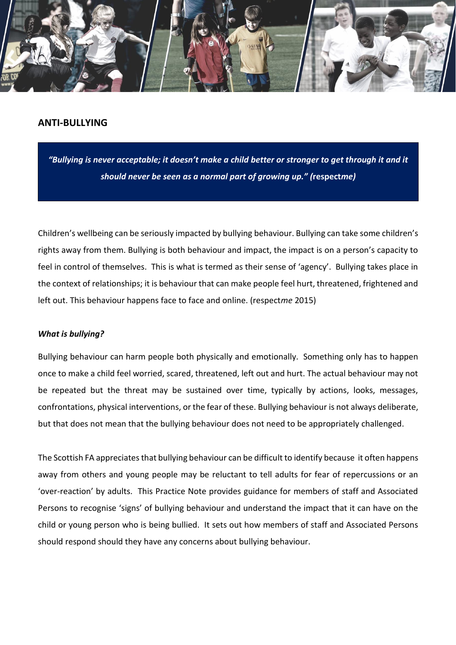

# **ANTI-BULLYING**

*"Bullying is never acceptable; it doesn't make a child better or stronger to get through it and it should never be seen as a normal part of growing up." (***respect***me)*

Children's wellbeing can be seriously impacted by bullying behaviour. Bullying can take some children's rights away from them. Bullying is both behaviour and impact, the impact is on a person's capacity to feel in control of themselves. This is what is termed as their sense of 'agency'. Bullying takes place in the context of relationships; it is behaviour that can make people feel hurt, threatened, frightened and left out. This behaviour happens face to face and online. (respect*me* 2015)

## *What is bullying?*

Bullying behaviour can harm people both physically and emotionally. Something only has to happen once to make a child feel worried, scared, threatened, left out and hurt. The actual behaviour may not be repeated but the threat may be sustained over time, typically by actions, looks, messages, confrontations, physical interventions, or the fear of these. Bullying behaviour is not always deliberate, but that does not mean that the bullying behaviour does not need to be appropriately challenged.

The Scottish FA appreciates that bullying behaviour can be difficult to identify because it often happens away from others and young people may be reluctant to tell adults for fear of repercussions or an 'over-reaction' by adults. This Practice Note provides guidance for members of staff and Associated Persons to recognise 'signs' of bullying behaviour and understand the impact that it can have on the child or young person who is being bullied. It sets out how members of staff and Associated Persons should respond should they have any concerns about bullying behaviour.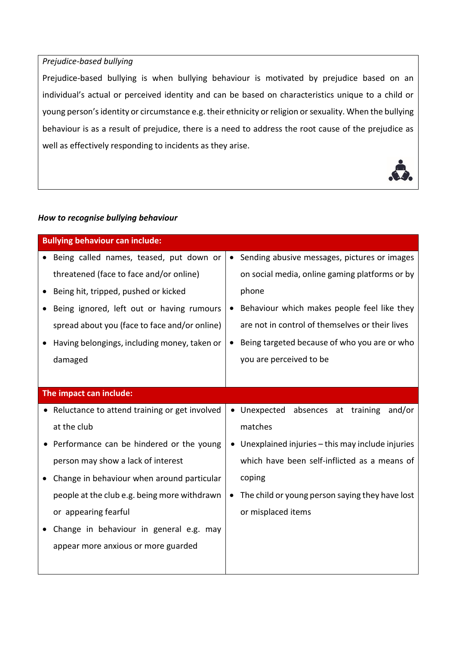## *Prejudice-based bullying*

Prejudice-based bullying is when bullying behaviour is motivated by prejudice based on an individual's actual or perceived identity and can be based on characteristics unique to a child or young person's identity or circumstance e.g. their ethnicity or religion or sexuality. When the bullying behaviour is as a result of prejudice, there is a need to address the root cause of the prejudice as well as effectively responding to incidents as they arise.



## *How to recognise bullying behaviour*

| <b>Bullying behaviour can include:</b>          |                                                  |  |  |  |
|-------------------------------------------------|--------------------------------------------------|--|--|--|
| Being called names, teased, put down or         | Sending abusive messages, pictures or images     |  |  |  |
| threatened (face to face and/or online)         | on social media, online gaming platforms or by   |  |  |  |
| Being hit, tripped, pushed or kicked            | phone                                            |  |  |  |
| Being ignored, left out or having rumours       | Behaviour which makes people feel like they      |  |  |  |
| spread about you (face to face and/or online)   | are not in control of themselves or their lives  |  |  |  |
| Having belongings, including money, taken or    | Being targeted because of who you are or who     |  |  |  |
| damaged                                         | you are perceived to be                          |  |  |  |
|                                                 |                                                  |  |  |  |
| The impact can include:                         |                                                  |  |  |  |
| • Reluctance to attend training or get involved | absences at training<br>• Unexpected<br>and/or   |  |  |  |
| at the club                                     | matches                                          |  |  |  |
| Performance can be hindered or the young        | Unexplained injuries - this may include injuries |  |  |  |
| person may show a lack of interest              | which have been self-inflicted as a means of     |  |  |  |
| Change in behaviour when around particular      | coping                                           |  |  |  |
| people at the club e.g. being more withdrawn    | The child or young person saying they have lost  |  |  |  |
| or appearing fearful                            | or misplaced items                               |  |  |  |
| Change in behaviour in general e.g. may         |                                                  |  |  |  |
| appear more anxious or more guarded             |                                                  |  |  |  |
|                                                 |                                                  |  |  |  |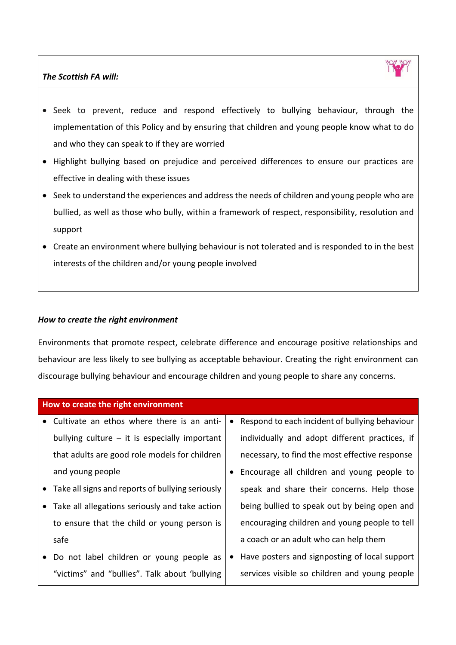## *The Scottish FA will:*



- Seek to prevent, reduce and respond effectively to bullying behaviour, through the implementation of this Policy and by ensuring that children and young people know what to do and who they can speak to if they are worried
- Highlight bullying based on prejudice and perceived differences to ensure our practices are effective in dealing with these issues
- Seek to understand the experiences and address the needs of children and young people who are bullied, as well as those who bully, within a framework of respect, responsibility, resolution and support
- Create an environment where bullying behaviour is not tolerated and is responded to in the best interests of the children and/or young people involved

### *How to create the right environment*

Environments that promote respect, celebrate difference and encourage positive relationships and behaviour are less likely to see bullying as acceptable behaviour. Creating the right environment can discourage bullying behaviour and encourage children and young people to share any concerns.

| How to create the right environment                |  |                                                |  |  |
|----------------------------------------------------|--|------------------------------------------------|--|--|
| Cultivate an ethos where there is an anti-         |  | Respond to each incident of bullying behaviour |  |  |
| bullying culture $-$ it is especially important    |  | individually and adopt different practices, if |  |  |
| that adults are good role models for children      |  | necessary, to find the most effective response |  |  |
| and young people                                   |  | Encourage all children and young people to     |  |  |
| • Take all signs and reports of bullying seriously |  | speak and share their concerns. Help those     |  |  |
| Take all allegations seriously and take action     |  | being bullied to speak out by being open and   |  |  |
| to ensure that the child or young person is        |  | encouraging children and young people to tell  |  |  |
| safe                                               |  | a coach or an adult who can help them          |  |  |
| Do not label children or young people as           |  | Have posters and signposting of local support  |  |  |
| "victims" and "bullies". Talk about 'bullying      |  | services visible so children and young people  |  |  |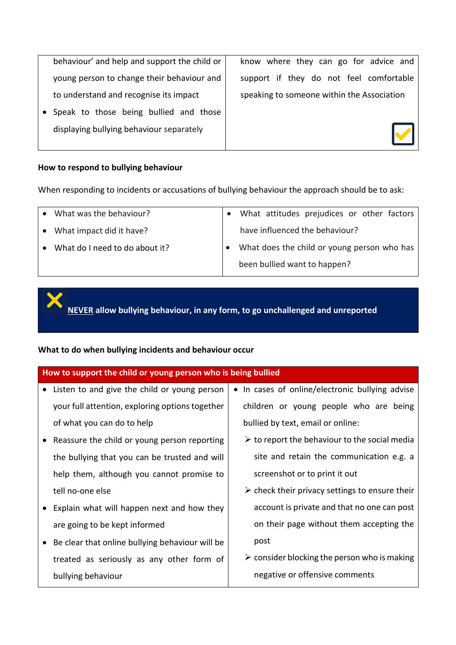| behaviour' and help and support the child or |
|----------------------------------------------|
| young person to change their behaviour and   |
| to understand and recognise its impact       |

• Speak to those being bullied and those displaying bullying behaviour separately

know where they can go for advice and support if they do not feel comfortable speaking to someone within the Association



#### **How to respond to bullying behaviour**

When responding to incidents or accusations of bullying behaviour the approach should be to ask:

|           | What was the behaviour?        | What attitudes prejudices or other factors  |
|-----------|--------------------------------|---------------------------------------------|
| $\bullet$ | What impact did it have?       | have influenced the behaviour?              |
|           | What do I need to do about it? | What does the child or young person who has |
|           |                                | been bullied want to happen?                |

**NEVER allow bullying behaviour, in any form, to go unchallenged and unreported**

## **What to do when bullying incidents and behaviour occur**

| How to support the child or young person who is being bullied |                                                               |  |  |  |  |
|---------------------------------------------------------------|---------------------------------------------------------------|--|--|--|--|
| Listen to and give the child or young person                  | • In cases of online/electronic bullying advise               |  |  |  |  |
| your full attention, exploring options together               | children or young people who are being                        |  |  |  |  |
| of what you can do to help                                    | bullied by text, email or online:                             |  |  |  |  |
| Reassure the child or young person reporting<br>$\bullet$     | $\triangleright$ to report the behaviour to the social media  |  |  |  |  |
| the bullying that you can be trusted and will                 | site and retain the communication e.g. a                      |  |  |  |  |
| help them, although you cannot promise to                     | screenshot or to print it out                                 |  |  |  |  |
| tell no-one else                                              | $\triangleright$ check their privacy settings to ensure their |  |  |  |  |
| Explain what will happen next and how they                    | account is private and that no one can post                   |  |  |  |  |
| are going to be kept informed                                 | on their page without them accepting the                      |  |  |  |  |
| Be clear that online bullying behaviour will be<br>$\bullet$  | post                                                          |  |  |  |  |
| treated as seriously as any other form of                     | $\triangleright$ consider blocking the person who is making   |  |  |  |  |
| bullying behaviour                                            | negative or offensive comments                                |  |  |  |  |